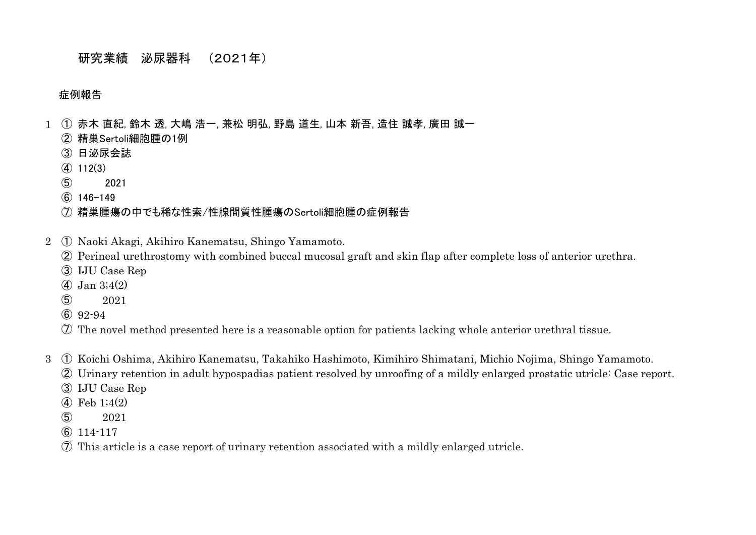# 研究業績 泌尿器科 (2021年)

#### 症例報告

- ① 赤木 直紀, 鈴木 透, 大嶋 浩一, 兼松 明弘, 野島 道生, 山本 新吾, 造住 誠孝, 廣田 誠一
	- 精巣Sertoli細胞腫の1例
	- 日泌尿会誌
	- $(4)$  112(3)
	- 2021
	- 146-149

### 精巣腫瘍の中でも稀な性索/性腺間質性腫瘍のSertoli細胞腫の症例報告

- ① Naoki Akagi, Akihiro Kanematsu, Shingo Yamamoto.
	- Perineal urethrostomy with combined buccal mucosal graft and skin flap after complete loss of anterior urethra.
	- IJU Case Rep
	- Jan 3;4(2)
	- 2021
	- 92-94
	- The novel method presented here is a reasonable option for patients lacking whole anterior urethral tissue.
- ① Koichi Oshima, Akihiro Kanematsu, Takahiko Hashimoto, Kimihiro Shimatani, Michio Nojima, Shingo Yamamoto.
	- Urinary retention in adult hypospadias patient resolved by unroofing of a mildly enlarged prostatic utricle: Case report.
	- IJU Case Rep
	- Feb 1;4(2)
	- 2021
	- 114-117
	- This article is a case report of urinary retention associated with a mildly enlarged utricle.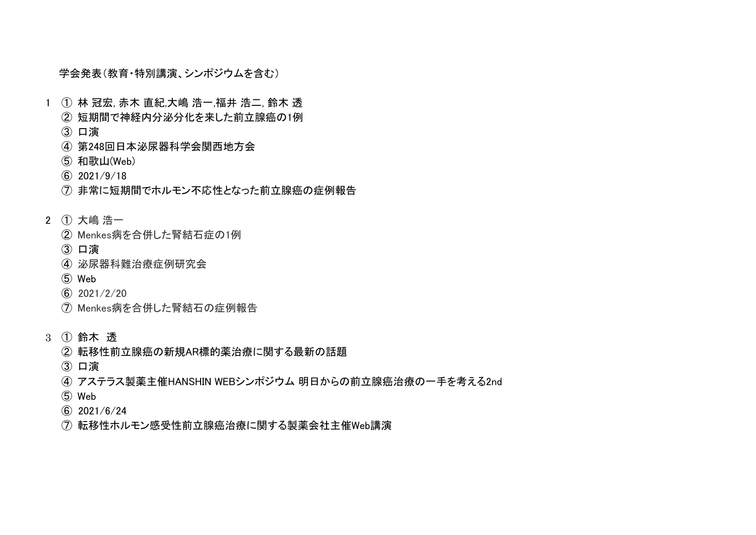学会発表(教育・特別講演、シンポジウムを含む)

- ① 林 冠宏, 赤木 直紀,大嶋 浩一,福井 浩二, 鈴木 透
	- 短期間で神経内分泌分化を来した前立腺癌の1例
	- 口演
	- 第248回日本泌尿器科学会関西地方会
	- 和歌山(Web)
	- 2021/9/18
	- 非常に短期間でホルモン不応性となった前立腺癌の症例報告
- ① 大嶋 浩一
	- Menkes病を合併した腎結石症の1例
	- 口演
	- 泌尿器科難治療症例研究会
	- Web
	- $\binom{6}{2021}/\binom{2}{20}$
	- Menkes病を合併した腎結石の症例報告
- ① 鈴木 透
	- 転移性前立腺癌の新規AR標的薬治療に関する最新の話題
	- 口演
	- アステラス製薬主催HANSHIN WEBシンポジウム 明日からの前立腺癌治療の一手を考える2nd
	- Web
	- 2021/6/24
	- 転移性ホルモン感受性前立腺癌治療に関する製薬会社主催Web講演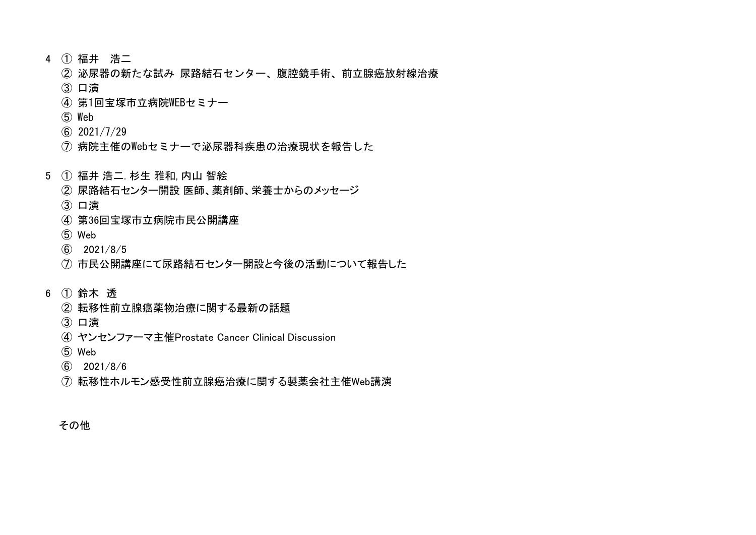- ① 福井 浩二
	- 泌尿器の新たな試み 尿路結石センター、腹腔鏡手術、前立腺癌放射線治療
	- 口演
	- 第1回宝塚市立病院WEBセミナー
	- Web
	- 2021/7/29
	- 病院主催のWebセミナーで泌尿器科疾患の治療現状を報告した
- ① 福井 浩二. 杉生 雅和, 内山 智絵
	- 尿路結石センター開設 医師、薬剤師、栄養士からのメッセージ
	- 口演
	- 第36回宝塚市立病院市民公開講座
	- Web
	- 2021/8/5
	- 市民公開講座にて尿路結石センター開設と今後の活動について報告した
- ① 鈴木 透
	- 転移性前立腺癌薬物治療に関する最新の話題
	- 口演
	- ヤンセンファーマ主催Prostate Cancer Clinical Discussion
	- Web
	- 2021/8/6
	- 転移性ホルモン感受性前立腺癌治療に関する製薬会社主催Web講演

その他